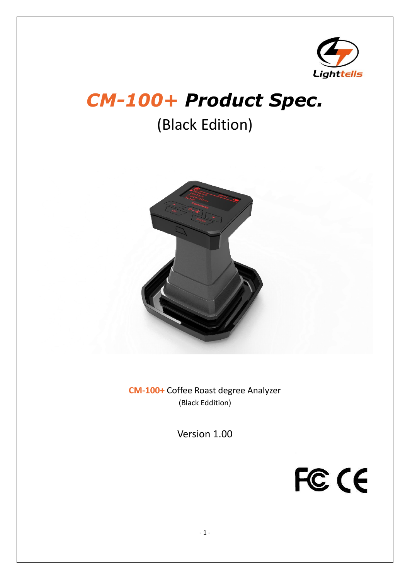

# *CM-100+ Product Spec.*

(Black Edition)



**CM-100+** Coffee Roast degree Analyzer (Black Eddition)

Version 1.00

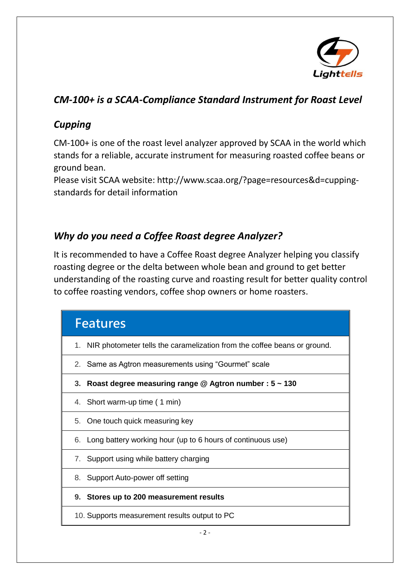

# *CM-100+ is a SCAA-Compliance Standard Instrument for Roast Level*

### *Cupping*

CM-100+ is one of the roast level analyzer approved by SCAA in the world which stands for a reliable, accurate instrument for measuring roasted coffee beans or ground bean.

Please visit SCAA website: [http://www.scaa.org/?page=resources&d=cupping](http://www.scaa.org/?page=resources&d=cupping-standards)[standards](http://www.scaa.org/?page=resources&d=cupping-standards) for detail information

## *Why do you need a Coffee Roast degree Analyzer?*

It is recommended to have a Coffee Roast degree Analyzer helping you classify roasting degree or the delta between whole bean and ground to get better understanding of the roasting curve and roasting result for better quality control to coffee roasting vendors, coffee shop owners or home roasters.

| <b>Features</b>                                                             |
|-----------------------------------------------------------------------------|
| 1. NIR photometer tells the caramelization from the coffee beans or ground. |
| 2. Same as Agtron measurements using "Gourmet" scale                        |
| 3. Roast degree measuring range $@$ Agtron number : $5 \sim 130$            |
| 4. Short warm-up time (1 min)                                               |
| 5. One touch quick measuring key                                            |
| 6. Long battery working hour (up to 6 hours of continuous use)              |
| 7. Support using while battery charging                                     |
| 8. Support Auto-power off setting                                           |
| 9. Stores up to 200 measurement results                                     |
| 10. Supports measurement results output to PC                               |